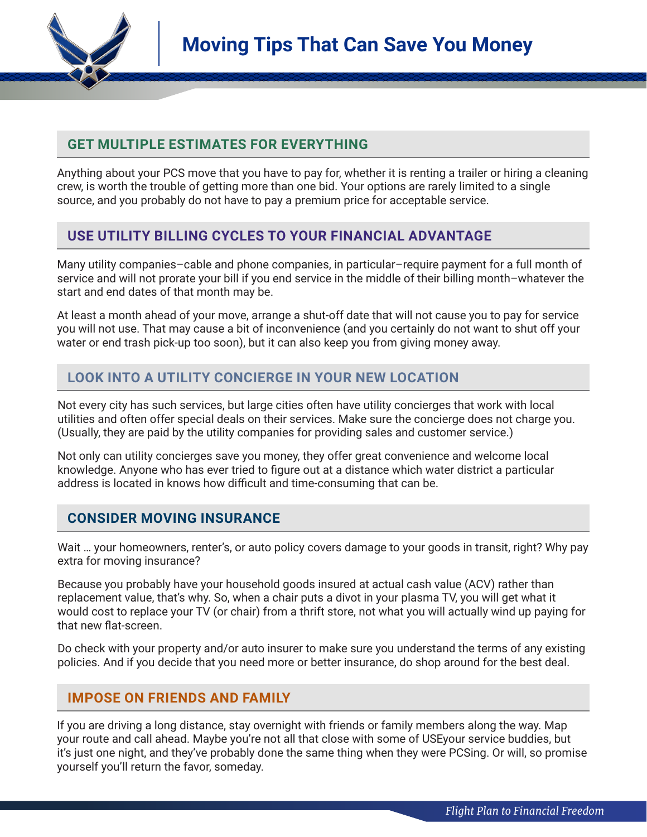

# **GET MULTIPLE ESTIMATES FOR EVERYTHING**

Anything about your PCS move that you have to pay for, whether it is renting a trailer or hiring a cleaning crew, is worth the trouble of getting more than one bid. Your options are rarely limited to a single source, and you probably do not have to pay a premium price for acceptable service.

## **USE UTILITY BILLING CYCLES TO YOUR FINANCIAL ADVANTAGE**

Many utility companies–cable and phone companies, in particular–require payment for a full month of service and will not prorate your bill if you end service in the middle of their billing month–whatever the start and end dates of that month may be.

At least a month ahead of your move, arrange a shut-off date that will not cause you to pay for service you will not use. That may cause a bit of inconvenience (and you certainly do not want to shut off your water or end trash pick-up too soon), but it can also keep you from giving money away.

## **LOOK INTO A UTILITY CONCIERGE IN YOUR NEW LOCATION**

Not every city has such services, but large cities often have utility concierges that work with local utilities and often offer special deals on their services. Make sure the concierge does not charge you. (Usually, they are paid by the utility companies for providing sales and customer service.)

Not only can utility concierges save you money, they offer great convenience and welcome local knowledge. Anyone who has ever tried to figure out at a distance which water district a particular address is located in knows how difficult and time-consuming that can be.

## **CONSIDER MOVING INSURANCE**

Wait … your homeowners, renter's, or auto policy covers damage to your goods in transit, right? Why pay extra for moving insurance?

Because you probably have your household goods insured at actual cash value (ACV) rather than replacement value, that's why. So, when a chair puts a divot in your plasma TV, you will get what it would cost to replace your TV (or chair) from a thrift store, not what you will actually wind up paying for that new flat-screen.

Do check with your property and/or auto insurer to make sure you understand the terms of any existing policies. And if you decide that you need more or better insurance, do shop around for the best deal.

## **IMPOSE ON FRIENDS AND FAMILY**

If you are driving a long distance, stay overnight with friends or family members along the way. Map your route and call ahead. Maybe you're not all that close with some of USEyour service buddies, but it's just one night, and they've probably done the same thing when they were PCSing. Or will, so promise yourself you'll return the favor, someday.